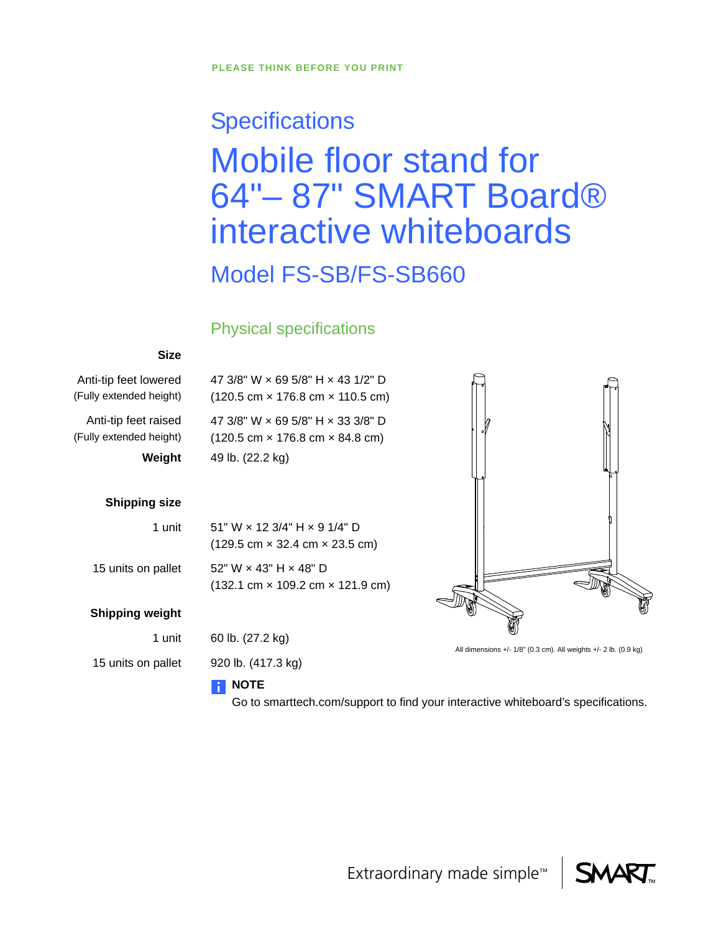# **Specifications** Mobile floor stand for 64"– 87" SMART Board® interactive whiteboards Model FS-SB/FS-SB660

## Physical specifications

#### **Size**

Anti-tip feet lowered (Fully extended height)

Anti-tip feet raised (Fully extended height) 47 3/8" W × 69 5/8" H × 43 1/2" D (120.5 cm × 176.8 cm × 110.5 cm)

47 3/8" W × 69 5/8" H × 33 3/8" D (120.5 cm × 176.8 cm × 84.8 cm) **Weight** 49 lb. (22.2 kg)

#### **Shipping size**

#### 1 unit

15 units on pallet

#### **Shipping weight**

1 unit

15 units on pallet

#### 51" W × 12 3/4" H × 9 1/4" D (129.5 cm × 32.4 cm × 23.5 cm)

52" W × 43" H × 48" D (132.1 cm × 109.2 cm × 121.9 cm)

60 lb. (27.2 kg)

920 lb. (417.3 kg)

### **NOTE**

Go to smarttech.com/support to find your interactive whiteboard's specifications.



All dimensions +/- 1/8" (0.3 cm). All weights +/- 2 lb. (0.9 kg)

Extraordinary made simple™

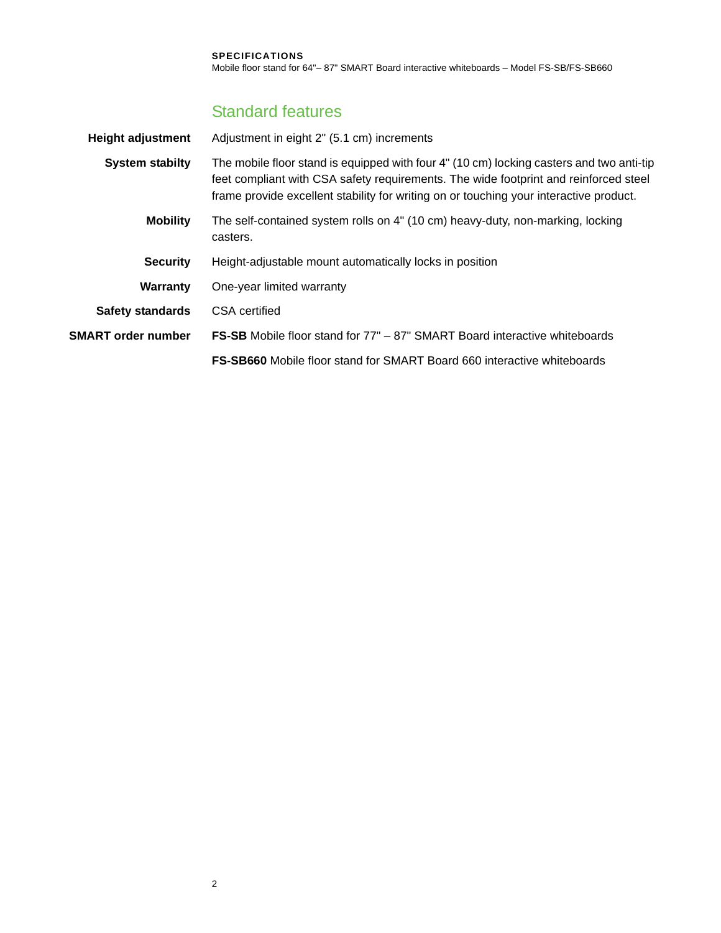## Standard features

| <b>Height adjustment</b>  | Adjustment in eight 2" (5.1 cm) increments                                                                                                                                                                                                                                 |  |
|---------------------------|----------------------------------------------------------------------------------------------------------------------------------------------------------------------------------------------------------------------------------------------------------------------------|--|
| <b>System stabilty</b>    | The mobile floor stand is equipped with four 4" (10 cm) locking casters and two anti-tip<br>feet compliant with CSA safety requirements. The wide footprint and reinforced steel<br>frame provide excellent stability for writing on or touching your interactive product. |  |
| <b>Mobility</b>           | The self-contained system rolls on 4" (10 cm) heavy-duty, non-marking, locking<br>casters.                                                                                                                                                                                 |  |
| <b>Security</b>           | Height-adjustable mount automatically locks in position                                                                                                                                                                                                                    |  |
| <b>Warranty</b>           | One-year limited warranty                                                                                                                                                                                                                                                  |  |
| <b>Safety standards</b>   | CSA certified                                                                                                                                                                                                                                                              |  |
| <b>SMART order number</b> | <b>FS-SB</b> Mobile floor stand for 77" – 87" SMART Board interactive whiteboards                                                                                                                                                                                          |  |
|                           | <b>FS-SB660</b> Mobile floor stand for SMART Board 660 interactive whiteboards                                                                                                                                                                                             |  |